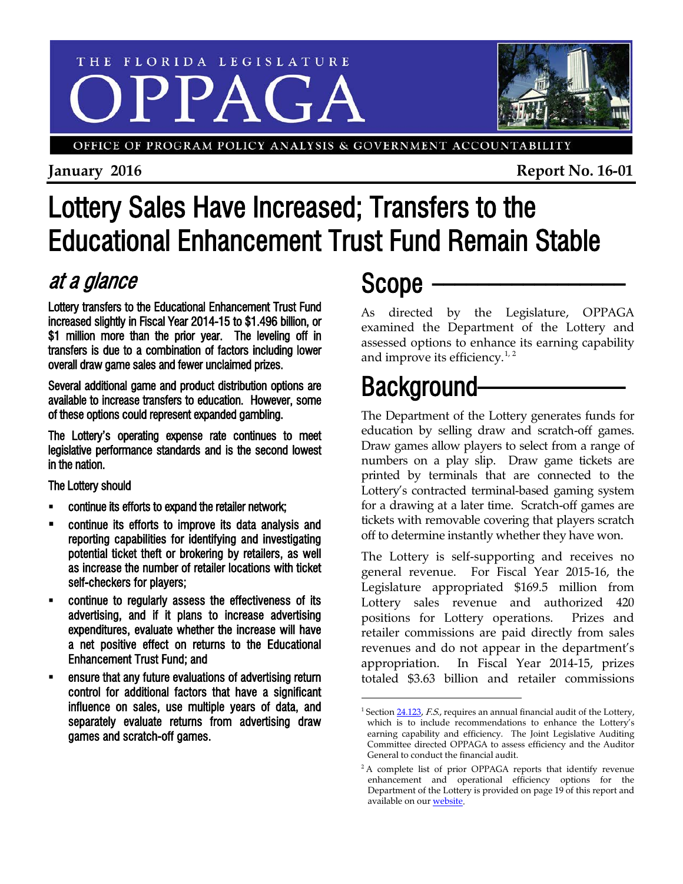# THE FLORIDA LEGISLATURE  ${\sf PPAGA}$

OFFICE OF PROGRAM POLICY ANALYSIS & GOVERNMENT ACCOUNTABILITY

**January 2016 Report No. 16-01**

## Lottery Sales Have Increased; Transfers to the Educational Enhancement Trust Fund Remain Stable

### at a glance

Lottery transfers to the Educational Enhancement Trust Fund increased slightly in Fiscal Year 2014-15 to \$1.496 billion, or \$1 million more than the prior year. The leveling off in transfers is due to a combination of factors including lower overall draw game sales and fewer unclaimed prizes.

Several additional game and product distribution options are available to increase transfers to education. However, some of these options could represent expanded gambling.

The Lottery's operating expense rate continues to meet legislative performance standards and is the second lowest in the nation.

The Lottery should

- continue its efforts to expand the retailer network;
- continue its efforts to improve its data analysis and reporting capabilities for identifying and investigating potential ticket theft or brokering by retailers, as well as increase the number of retailer locations with ticket self-checkers for players;
- continue to regularly assess the effectiveness of its advertising, and if it plans to increase advertising expenditures, evaluate whether the increase will have a net positive effect on returns to the Educational Enhancement Trust Fund; and
- <span id="page-0-1"></span><span id="page-0-0"></span> ensure that any future evaluations of advertising return control for additional factors that have a significant influence on sales, use multiple years of data, and separately evaluate returns from advertising draw games and scratch-off games.

### Scope -

 $\overline{a}$ 

As directed by the Legislature, OPPAGA examined the Department of the Lottery and assessed options to enhance its earning capability and improve its efficiency.<sup>[1,](#page-0-0) [2](#page-0-1)</sup>

### Background-

The Department of the Lottery generates funds for education by selling draw and scratch-off games. Draw games allow players to select from a range of numbers on a play slip. Draw game tickets are printed by terminals that are connected to the Lottery's contracted terminal-based gaming system for a drawing at a later time. Scratch-off games are tickets with removable covering that players scratch off to determine instantly whether they have won.

The Lottery is self-supporting and receives no general revenue. For Fiscal Year 2015-16, the Legislature appropriated \$169.5 million from Lottery sales revenue and authorized 420 positions for Lottery operations. Prizes and retailer commissions are paid directly from sales revenues and do not appear in the department's appropriation. In Fiscal Year 2014-15, prizes totaled \$3.63 billion and retailer commissions

<sup>&</sup>lt;sup>1</sup> Section  $24.123$ , *F.S.*, requires an annual financial audit of the Lottery, which is to include recommendations to enhance the Lottery's earning capability and efficiency. The Joint Legislative Auditing Committee directed OPPAGA to assess efficiency and the Auditor General to conduct the financial audit.

<sup>&</sup>lt;sup>2</sup>A complete list of prior OPPAGA reports that identify revenue enhancement and operational efficiency options for the Department of the Lottery is provided on page 19 of this report and available on ou[r website.](http://www.oppaga.state.fl.us/ReportsByAgency.aspx?agency=Lottery,%20Department%20of%20the)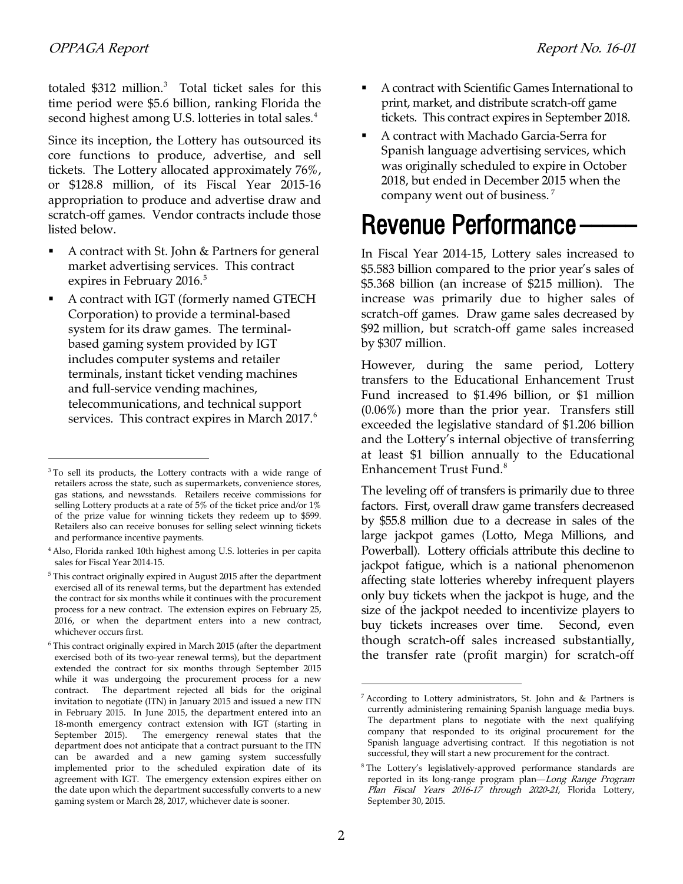$\overline{a}$ 

totaled \$[3](#page-1-0)12 million.<sup>3</sup> Total ticket sales for this time period were \$5.6 billion, ranking Florida the second highest among U.S. lotteries in total sales.<sup>[4](#page-1-1)</sup>

Since its inception, the Lottery has outsourced its core functions to produce, advertise, and sell tickets. The Lottery allocated approximately 76%, or \$128.8 million, of its Fiscal Year 2015-16 appropriation to produce and advertise draw and scratch-off games. Vendor contracts include those listed below.

- A contract with St. John & Partners for general market advertising services. This contract expires in February 2016. [5](#page-1-2)
- A contract with IGT (formerly named GTECH Corporation) to provide a terminal-based system for its draw games. The terminalbased gaming system provided by IGT includes computer systems and retailer terminals, instant ticket vending machines and full-service vending machines, telecommunications, and technical support services. This contract expires in March 2017.<sup>[6](#page-1-3)</sup>
- A contract with Scientific Games International to print, market, and distribute scratch-off game tickets. This contract expires in September 2018.
- A contract with Machado Garcia-Serra for Spanish language advertising services, which was originally scheduled to expire in October 2018, but ended in December 2015 when the company went out of business. [7](#page-1-4)

### Revenue Performance -

In Fiscal Year 2014-15, Lottery sales increased to \$5.583 billion compared to the prior year's sales of \$5.368 billion (an increase of \$215 million). The increase was primarily due to higher sales of scratch-off games. Draw game sales decreased by \$92 million, but scratch-off game sales increased by \$307 million.

However, during the same period, Lottery transfers to the Educational Enhancement Trust Fund increased to \$1.496 billion, or \$1 million (0.06%) more than the prior year. Transfers still exceeded the legislative standard of \$1.206 billion and the Lottery's internal objective of transferring at least \$1 billion annually to the Educational Enhancement Trust Fund. [8](#page-1-5)

The leveling off of transfers is primarily due to three factors. First, overall draw game transfers decreased by \$55.8 million due to a decrease in sales of the large jackpot games (Lotto, Mega Millions, and Powerball). Lottery officials attribute this decline to jackpot fatigue, which is a national phenomenon affecting state lotteries whereby infrequent players only buy tickets when the jackpot is huge, and the size of the jackpot needed to incentivize players to buy tickets increases over time. Second, even though scratch-off sales increased substantially, the transfer rate (profit margin) for scratch-off

<span id="page-1-0"></span><sup>&</sup>lt;sup>3</sup> To sell its products, the Lottery contracts with a wide range of retailers across the state, such as supermarkets, convenience stores, gas stations, and newsstands. Retailers receive commissions for selling Lottery products at a rate of 5% of the ticket price and/or 1% of the prize value for winning tickets they redeem up to \$599. Retailers also can receive bonuses for selling select winning tickets and performance incentive payments.

<span id="page-1-1"></span><sup>4</sup> Also, Florida ranked 10th highest among U.S. lotteries in per capita sales for Fiscal Year 2014-15.

<span id="page-1-2"></span><sup>&</sup>lt;sup>5</sup> This contract originally expired in August 2015 after the department exercised all of its renewal terms, but the department has extended the contract for six months while it continues with the procurement process for a new contract. The extension expires on February 25, 2016, or when the department enters into a new contract, whichever occurs first.

<span id="page-1-5"></span><span id="page-1-4"></span><span id="page-1-3"></span><sup>6</sup> This contract originally expired in March 2015 (after the department exercised both of its two-year renewal terms), but the department extended the contract for six months through September 2015 while it was undergoing the procurement process for a new contract. The department rejected all bids for the original invitation to negotiate (ITN) in January 2015 and issued a new ITN in February 2015. In June 2015, the department entered into an 18-month emergency contract extension with IGT (starting in September 2015). The emergency renewal states that the department does not anticipate that a contract pursuant to the ITN can be awarded and a new gaming system successfully implemented prior to the scheduled expiration date of its agreement with IGT. The emergency extension expires either on the date upon which the department successfully converts to a new gaming system or March 28, 2017, whichever date is sooner.

<sup>7</sup> According to Lottery administrators, St. John and & Partners is currently administering remaining Spanish language media buys. The department plans to negotiate with the next qualifying company that responded to its original procurement for the Spanish language advertising contract. If this negotiation is not successful, they will start a new procurement for the contract.

<sup>8</sup> The Lottery's legislatively-approved performance standards are reported in its long-range program plan—Long Range Program Plan Fiscal Years 2016-17 through 2020-21, Florida Lottery, September 30, 2015.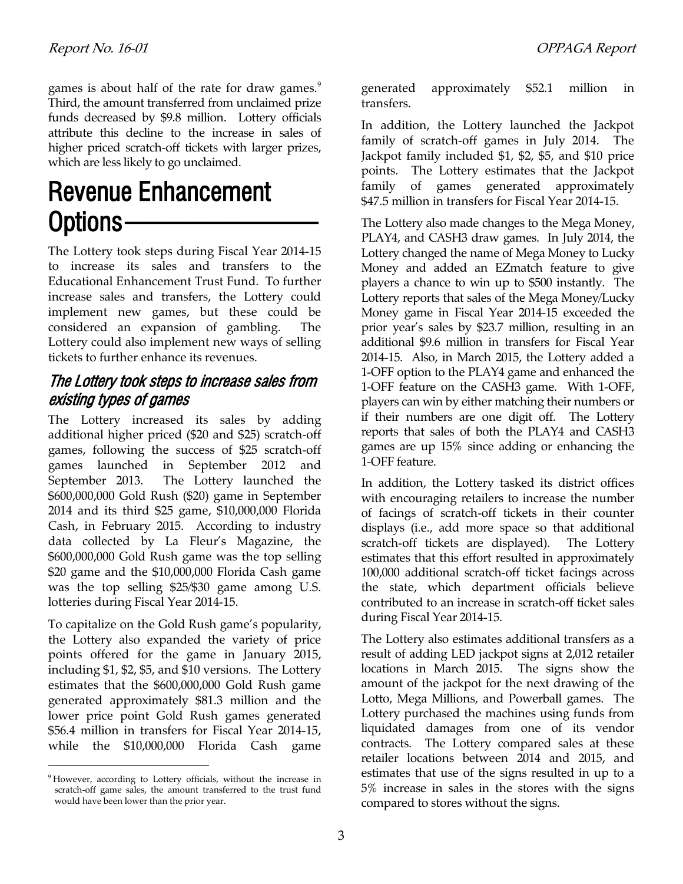games is about half of the rate for draw games.<sup>[9](#page-2-0)</sup> Third, the amount transferred from unclaimed prize funds decreased by \$9.8 million. Lottery officials attribute this decline to the increase in sales of higher priced scratch-off tickets with larger prizes, which are less likely to go unclaimed.

### Revenue Enhancement Options -

The Lottery took steps during Fiscal Year 2014-15 to increase its sales and transfers to the Educational Enhancement Trust Fund. To further increase sales and transfers, the Lottery could implement new games, but these could be considered an expansion of gambling. The Lottery could also implement new ways of selling tickets to further enhance its revenues.

#### The Lottery took steps to increase sales from existing types of games

The Lottery increased its sales by adding additional higher priced (\$20 and \$25) scratch-off games, following the success of \$25 scratch-off games launched in September 2012 and September 2013. The Lottery launched the \$600,000,000 Gold Rush (\$20) game in September 2014 and its third \$25 game, \$10,000,000 Florida Cash, in February 2015. According to industry data collected by La Fleur's Magazine, the \$600,000,000 Gold Rush game was the top selling \$20 game and the \$10,000,000 Florida Cash game was the top selling \$25/\$30 game among U.S. lotteries during Fiscal Year 2014-15.

To capitalize on the Gold Rush game's popularity, the Lottery also expanded the variety of price points offered for the game in January 2015, including \$1, \$2, \$5, and \$10 versions. The Lottery estimates that the \$600,000,000 Gold Rush game generated approximately \$81.3 million and the lower price point Gold Rush games generated \$56.4 million in transfers for Fiscal Year 2014-15, while the \$10,000,000 Florida Cash game

 $\overline{a}$ 

generated approximately \$52.1 million in transfers.

In addition, the Lottery launched the Jackpot family of scratch-off games in July 2014. The Jackpot family included \$1, \$2, \$5, and \$10 price points. The Lottery estimates that the Jackpot family of games generated approximately \$47.5 million in transfers for Fiscal Year 2014-15.

The Lottery also made changes to the Mega Money, PLAY4, and CASH3 draw games. In July 2014, the Lottery changed the name of Mega Money to Lucky Money and added an EZmatch feature to give players a chance to win up to \$500 instantly. The Lottery reports that sales of the Mega Money/Lucky Money game in Fiscal Year 2014-15 exceeded the prior year's sales by \$23.7 million, resulting in an additional \$9.6 million in transfers for Fiscal Year 2014-15. Also, in March 2015, the Lottery added a 1-OFF option to the PLAY4 game and enhanced the 1-OFF feature on the CASH3 game. With 1-OFF, players can win by either matching their numbers or if their numbers are one digit off. The Lottery reports that sales of both the PLAY4 and CASH3 games are up 15% since adding or enhancing the 1-OFF feature.

In addition, the Lottery tasked its district offices with encouraging retailers to increase the number of facings of scratch-off tickets in their counter displays (i.e., add more space so that additional scratch-off tickets are displayed). The Lottery estimates that this effort resulted in approximately 100,000 additional scratch-off ticket facings across the state, which department officials believe contributed to an increase in scratch-off ticket sales during Fiscal Year 2014-15.

The Lottery also estimates additional transfers as a result of adding LED jackpot signs at 2,012 retailer locations in March 2015. The signs show the amount of the jackpot for the next drawing of the Lotto, Mega Millions, and Powerball games. The Lottery purchased the machines using funds from liquidated damages from one of its vendor contracts. The Lottery compared sales at these retailer locations between 2014 and 2015, and estimates that use of the signs resulted in up to a 5% increase in sales in the stores with the signs compared to stores without the signs.

<span id="page-2-0"></span><sup>&</sup>lt;sup>9</sup> However, according to Lottery officials, without the increase in scratch-off game sales, the amount transferred to the trust fund would have been lower than the prior year.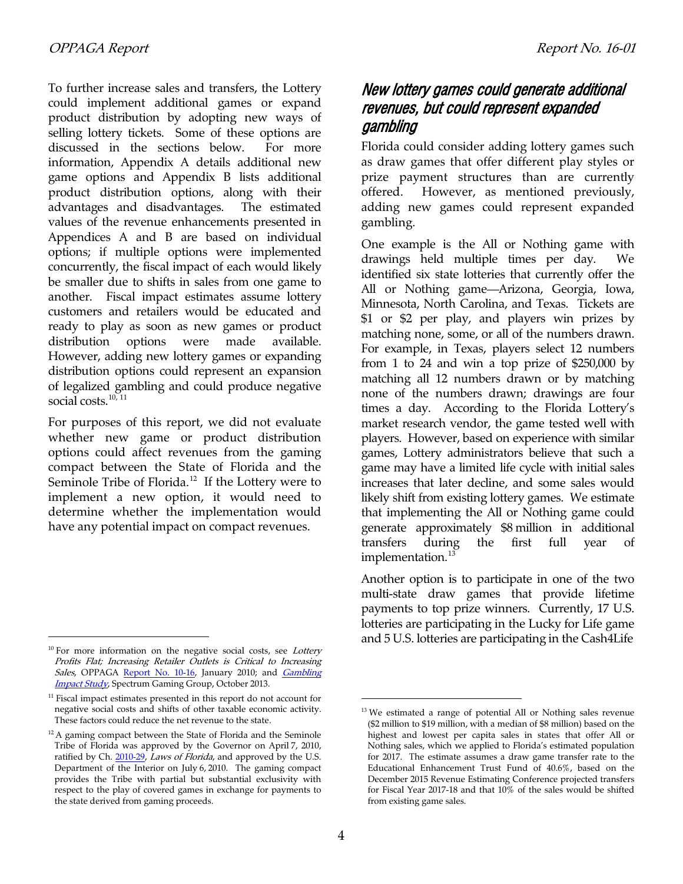To further increase sales and transfers, the Lottery could implement additional games or expand product distribution by adopting new ways of selling lottery tickets. Some of these options are discussed in the sections below. For more information, Appendix A details additional new game options and Appendix B lists additional product distribution options, along with their advantages and disadvantages. The estimated values of the revenue enhancements presented in Appendices A and B are based on individual options; if multiple options were implemented concurrently, the fiscal impact of each would likely be smaller due to shifts in sales from one game to another. Fiscal impact estimates assume lottery customers and retailers would be educated and ready to play as soon as new games or product distribution options were made available. However, adding new lottery games or expanding distribution options could represent an expansion of legalized gambling and could produce negative social costs.<sup>10, [11](#page-3-1)</sup>

For purposes of this report, we did not evaluate whether new game or product distribution options could affect revenues from the gaming compact between the State of Florida and the Seminole Tribe of Florida.<sup>12</sup> If the Lottery were to implement a new option, it would need to determine whether the implementation would have any potential impact on compact revenues.

 $\overline{a}$ 

#### New lottery games could generate additional revenues, but could represent expanded gambling

Florida could consider adding lottery games such as draw games that offer different play styles or prize payment structures than are currently offered. However, as mentioned previously, adding new games could represent expanded gambling.

One example is the All or Nothing game with drawings held multiple times per day. We identified six state lotteries that currently offer the All or Nothing game—Arizona, Georgia, Iowa, Minnesota, North Carolina, and Texas. Tickets are \$1 or \$2 per play, and players win prizes by matching none, some, or all of the numbers drawn. For example, in Texas, players select 12 numbers from 1 to 24 and win a top prize of \$250,000 by matching all 12 numbers drawn or by matching none of the numbers drawn; drawings are four times a day. According to the Florida Lottery's market research vendor, the game tested well with players. However, based on experience with similar games, Lottery administrators believe that such a game may have a limited life cycle with initial sales increases that later decline, and some sales would likely shift from existing lottery games. We estimate that implementing the All or Nothing game could generate approximately \$8 million in additional transfers during the first full year of implementation. [13](#page-3-3)

Another option is to participate in one of the two multi-state draw games that provide lifetime payments to top prize winners. Currently, 17 U.S. lotteries are participating in the Lucky for Life game and 5 U.S. lotteries are participating in the Cash4Life

<span id="page-3-0"></span> $10$  For more information on the negative social costs, see Lottery Profits Flat; Increasing Retailer Outlets is Critical to Increasing Sales, OPPAGA [Report No. 10-16,](http://www.oppaga.state.fl.us/Summary.aspx?reportNum=10-16) January 2010; and *Gambling* [Impact Study](http://www.leg.state.fl.us/GamingStudy/), Spectrum Gaming Group, October 2013.

<span id="page-3-3"></span><span id="page-3-1"></span><sup>&</sup>lt;sup>11</sup> Fiscal impact estimates presented in this report do not account for negative social costs and shifts of other taxable economic activity. These factors could reduce the net revenue to the state.

<span id="page-3-2"></span> $12$  A gaming compact between the State of Florida and the Seminole Tribe of Florida was approved by the Governor on April 7, 2010, ratified by Ch. [2010-29,](http://laws.flrules.org/2010/29) Laws of Florida, and approved by the U.S. Department of the Interior on July 6, 2010. The gaming compact provides the Tribe with partial but substantial exclusivity with respect to the play of covered games in exchange for payments to the state derived from gaming proceeds.

<sup>&</sup>lt;sup>13</sup> We estimated a range of potential All or Nothing sales revenue (\$2 million to \$19 million, with a median of \$8 million) based on the highest and lowest per capita sales in states that offer All or Nothing sales, which we applied to Florida's estimated population for 2017. The estimate assumes a draw game transfer rate to the Educational Enhancement Trust Fund of 40.6%, based on the December 2015 Revenue Estimating Conference projected transfers for Fiscal Year 2017-18 and that 10% of the sales would be shifted from existing game sales.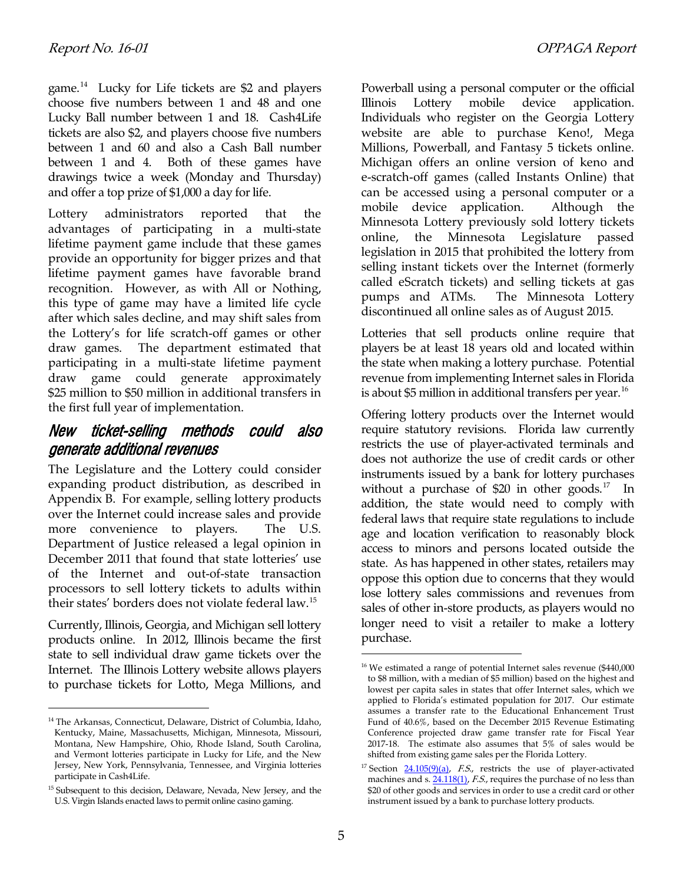game. [14](#page-4-0) Lucky for Life tickets are \$2 and players choose five numbers between 1 and 48 and one Lucky Ball number between 1 and 18. Cash4Life tickets are also \$2, and players choose five numbers between 1 and 60 and also a Cash Ball number between 1 and 4. Both of these games have drawings twice a week (Monday and Thursday) and offer a top prize of \$1,000 a day for life.

Lottery administrators reported that the advantages of participating in a multi-state lifetime payment game include that these games provide an opportunity for bigger prizes and that lifetime payment games have favorable brand recognition. However, as with All or Nothing, this type of game may have a limited life cycle after which sales decline, and may shift sales from the Lottery's for life scratch-off games or other draw games. The department estimated that participating in a multi-state lifetime payment draw game could generate approximately \$25 million to \$50 million in additional transfers in the first full year of implementation.

### New ticket-selling methods could also generate additional revenues

The Legislature and the Lottery could consider expanding product distribution, as described in Appendix B. For example, selling lottery products over the Internet could increase sales and provide more convenience to players. The U.S. Department of Justice released a legal opinion in December 2011 that found that state lotteries' use of the Internet and out-of-state transaction processors to sell lottery tickets to adults within their states' borders does not violate federal law.[15](#page-4-1)

Currently, Illinois, Georgia, and Michigan sell lottery products online. In 2012, Illinois became the first state to sell individual draw game tickets over the Internet. The Illinois Lottery website allows players to purchase tickets for Lotto, Mega Millions, and

<span id="page-4-2"></span> $\overline{a}$ 

Powerball using a personal computer or the official Illinois Lottery mobile device application. Individuals who register on the Georgia Lottery website are able to purchase Keno!, Mega Millions, Powerball, and Fantasy 5 tickets online. Michigan offers an online version of keno and e-scratch-off games (called Instants Online) that can be accessed using a personal computer or a mobile device application. Although the Minnesota Lottery previously sold lottery tickets online, the Minnesota Legislature passed legislation in 2015 that prohibited the lottery from selling instant tickets over the Internet (formerly called eScratch tickets) and selling tickets at gas pumps and ATMs. The Minnesota Lottery discontinued all online sales as of August 2015.

Lotteries that sell products online require that players be at least 18 years old and located within the state when making a lottery purchase. Potential revenue from implementing Internet sales in Florida is about \$5 million in additional transfers per year. $^{16}$  $^{16}$  $^{16}$ 

Offering lottery products over the Internet would require statutory revisions. Florida law currently restricts the use of player-activated terminals and does not authorize the use of credit cards or other instruments issued by a bank for lottery purchases without a purchase of \$20 in other goods.<sup>[17](#page-4-3)</sup> In addition, the state would need to comply with federal laws that require state regulations to include age and location verification to reasonably block access to minors and persons located outside the state. As has happened in other states, retailers may oppose this option due to concerns that they would lose lottery sales commissions and revenues from sales of other in-store products, as players would no longer need to visit a retailer to make a lottery purchase.

<span id="page-4-0"></span><sup>&</sup>lt;sup>14</sup> The Arkansas, Connecticut, Delaware, District of Columbia, Idaho, Kentucky, Maine, Massachusetts, Michigan, Minnesota, Missouri, Montana, New Hampshire, Ohio, Rhode Island, South Carolina, and Vermont lotteries participate in Lucky for Life, and the New Jersey, New York, Pennsylvania, Tennessee, and Virginia lotteries participate in Cash4Life.

<span id="page-4-3"></span><span id="page-4-1"></span><sup>&</sup>lt;sup>15</sup> Subsequent to this decision, Delaware, Nevada, New Jersey, and the U.S. Virgin Islands enacted laws to permit online casino gaming.

<sup>&</sup>lt;sup>16</sup> We estimated a range of potential Internet sales revenue (\$440,000 to \$8 million, with a median of \$5 million) based on the highest and lowest per capita sales in states that offer Internet sales, which we applied to Florida's estimated population for 2017. Our estimate assumes a transfer rate to the Educational Enhancement Trust Fund of 40.6%, based on the December 2015 Revenue Estimating Conference projected draw game transfer rate for Fiscal Year 2017-18. The estimate also assumes that 5% of sales would be shifted from existing game sales per the Florida Lottery.

<sup>&</sup>lt;sup>17</sup> Section  $24.105(9)(a)$ , *F.S.*, restricts the use of player-activated machines and s[. 24.118\(1\),](http://www.leg.state.fl.us/statutes/index.cfm?App_mode=Display_Statute&Search_String=&URL=0000-0099/0024/Sections/0024.118.html) F.S., requires the purchase of no less than \$20 of other goods and services in order to use a credit card or other instrument issued by a bank to purchase lottery products.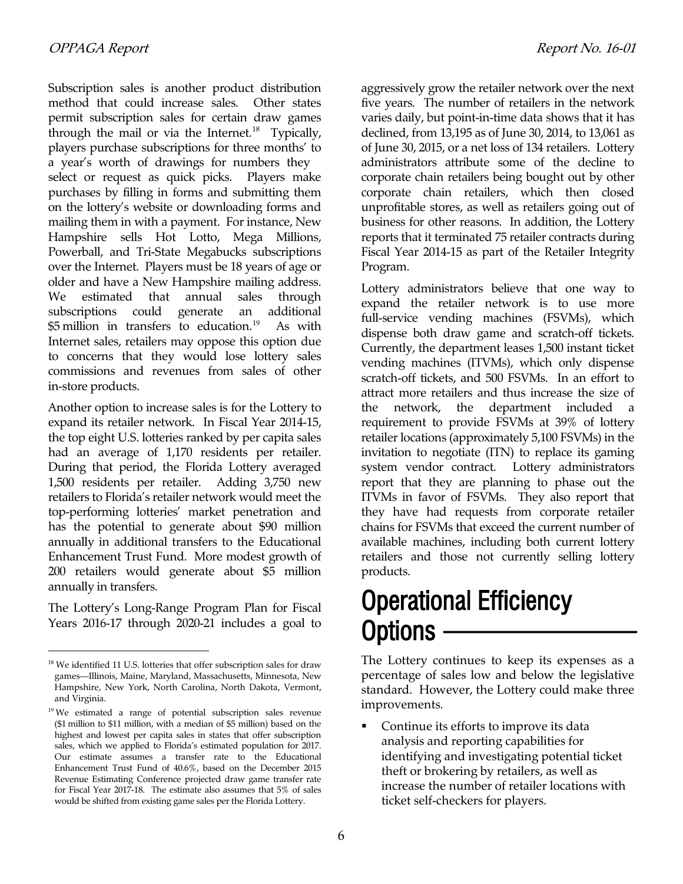Subscription sales is another product distribution method that could increase sales. Other states permit subscription sales for certain draw games through the mail or via the Internet.<sup>18</sup> Typically, players purchase subscriptions for three months' to a year's worth of drawings for numbers they select or request as quick picks. Players make purchases by filling in forms and submitting them on the lottery's website or downloading forms and mailing them in with a payment. For instance, New Hampshire sells Hot Lotto, Mega Millions, Powerball, and Tri-State Megabucks subscriptions over the Internet. Players must be 18 years of age or older and have a New Hampshire mailing address. We estimated that annual sales through subscriptions could generate an additional \$5 million in transfers to education.<sup>[19](#page-5-1)</sup> As with Internet sales, retailers may oppose this option due to concerns that they would lose lottery sales commissions and revenues from sales of other in-store products.

Another option to increase sales is for the Lottery to expand its retailer network. In Fiscal Year 2014-15, the top eight U.S. lotteries ranked by per capita sales had an average of 1,170 residents per retailer. During that period, the Florida Lottery averaged 1,500 residents per retailer. Adding 3,750 new retailers to Florida's retailer network would meet the top-performing lotteries' market penetration and has the potential to generate about \$90 million annually in additional transfers to the Educational Enhancement Trust Fund. More modest growth of 200 retailers would generate about \$5 million annually in transfers.

The Lottery's Long-Range Program Plan for Fiscal Years 2016-17 through 2020-21 includes a goal to

 $\overline{a}$ 

aggressively grow the retailer network over the next five years. The number of retailers in the network varies daily, but point-in-time data shows that it has declined, from 13,195 as of June 30, 2014, to 13,061 as of June 30, 2015, or a net loss of 134 retailers. Lottery administrators attribute some of the decline to corporate chain retailers being bought out by other corporate chain retailers, which then closed unprofitable stores, as well as retailers going out of business for other reasons. In addition, the Lottery reports that it terminated 75 retailer contracts during Fiscal Year 2014-15 as part of the Retailer Integrity Program.

Lottery administrators believe that one way to expand the retailer network is to use more full-service vending machines (FSVMs), which dispense both draw game and scratch-off tickets. Currently, the department leases 1,500 instant ticket vending machines (ITVMs), which only dispense scratch-off tickets, and 500 FSVMs. In an effort to attract more retailers and thus increase the size of the network, the department included a requirement to provide FSVMs at 39% of lottery retailer locations (approximately 5,100 FSVMs) in the invitation to negotiate (ITN) to replace its gaming system vendor contract. Lottery administrators report that they are planning to phase out the ITVMs in favor of FSVMs. They also report that they have had requests from corporate retailer chains for FSVMs that exceed the current number of available machines, including both current lottery retailers and those not currently selling lottery products.

### Operational Efficiency Options –

The Lottery continues to keep its expenses as a percentage of sales low and below the legislative standard. However, the Lottery could make three improvements.

 Continue its efforts to improve its data analysis and reporting capabilities for identifying and investigating potential ticket theft or brokering by retailers, as well as increase the number of retailer locations with ticket self-checkers for players.

<span id="page-5-0"></span><sup>&</sup>lt;sup>18</sup> We identified 11 U.S. lotteries that offer subscription sales for draw games—Illinois, Maine, Maryland, Massachusetts, Minnesota, New Hampshire, New York, North Carolina, North Dakota, Vermont, and Virginia.

<span id="page-5-1"></span><sup>&</sup>lt;sup>19</sup> We estimated a range of potential subscription sales revenue (\$1 million to \$11 million, with a median of \$5 million) based on the highest and lowest per capita sales in states that offer subscription sales, which we applied to Florida's estimated population for 2017. Our estimate assumes a transfer rate to the Educational Enhancement Trust Fund of 40.6%, based on the December 2015 Revenue Estimating Conference projected draw game transfer rate for Fiscal Year 2017-18. The estimate also assumes that 5% of sales would be shifted from existing game sales per the Florida Lottery.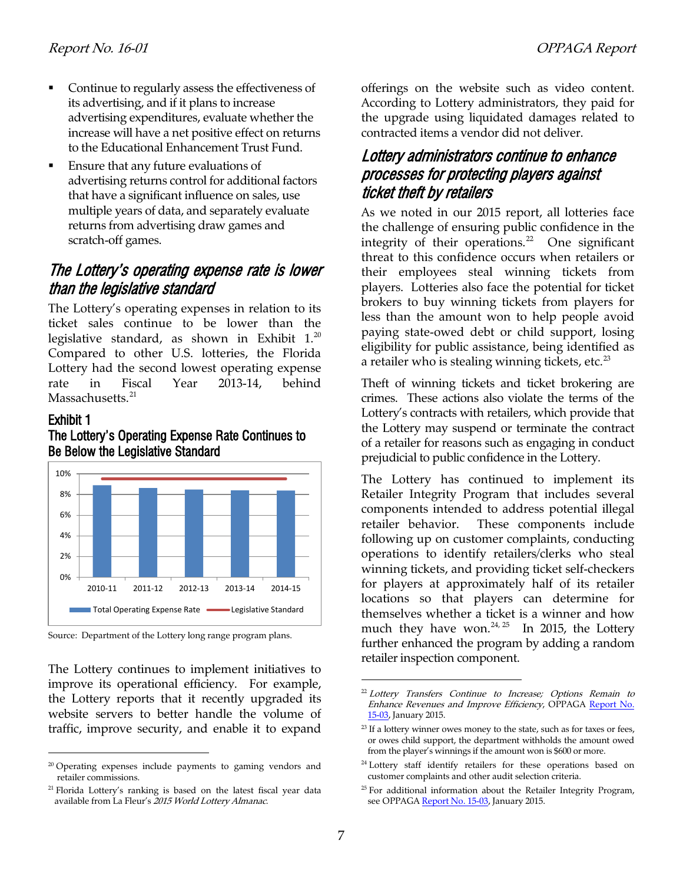- Continue to regularly assess the effectiveness of its advertising, and if it plans to increase advertising expenditures, evaluate whether the increase will have a net positive effect on returns to the Educational Enhancement Trust Fund.
- Ensure that any future evaluations of advertising returns control for additional factors that have a significant influence on sales, use multiple years of data, and separately evaluate returns from advertising draw games and scratch-off games.

#### The Lottery's operating expense rate is lower than the legislative standard

The Lottery's operating expenses in relation to its ticket sales continue to be lower than the legislative standard, as shown in Exhibit  $1.^{20}$  $1.^{20}$  $1.^{20}$ Compared to other U.S. lotteries, the Florida Lottery had the second lowest operating expense rate in Fiscal Year 2013-14, behind Massachusetts. [21](#page-6-1)

#### Exhibit 1

<span id="page-6-3"></span> $\overline{a}$ 

#### The Lottery's Operating Expense Rate Continues to Be Below the Legislative Standard



Source: Department of the Lottery long range program plans.

<span id="page-6-2"></span>The Lottery continues to implement initiatives to improve its operational efficiency. For example, the Lottery reports that it recently upgraded its website servers to better handle the volume of traffic, improve security, and enable it to expand offerings on the website such as video content. According to Lottery administrators, they paid for the upgrade using liquidated damages related to contracted items a vendor did not deliver.

#### Lottery administrators continue to enhance processes for protecting players against ticket theft by retailers

As we noted in our 2015 report, all lotteries face the challenge of ensuring public confidence in the integrity of their operations.<sup>[22](#page-6-2)</sup> One significant threat to this confidence occurs when retailers or their employees steal winning tickets from players. Lotteries also face the potential for ticket brokers to buy winning tickets from players for less than the amount won to help people avoid paying state-owed debt or child support, losing eligibility for public assistance, being identified as a retailer who is stealing winning tickets, etc. $^{23}$  $^{23}$  $^{23}$ 

Theft of winning tickets and ticket brokering are crimes. These actions also violate the terms of the Lottery's contracts with retailers, which provide that the Lottery may suspend or terminate the contract of a retailer for reasons such as engaging in conduct prejudicial to public confidence in the Lottery.

The Lottery has continued to implement its Retailer Integrity Program that includes several components intended to address potential illegal retailer behavior. These components include following up on customer complaints, conducting operations to identify retailers/clerks who steal winning tickets, and providing ticket self-checkers for players at approximately half of its retailer locations so that players can determine for themselves whether a ticket is a winner and how much they have won. $24, 25$  $24, 25$  In 2015, the Lottery further enhanced the program by adding a random retailer inspection component.

<span id="page-6-4"></span><span id="page-6-0"></span><sup>&</sup>lt;sup>20</sup> Operating expenses include payments to gaming vendors and retailer commissions.

<span id="page-6-1"></span><sup>&</sup>lt;sup>21</sup> Florida Lottery's ranking is based on the latest fiscal year data available from La Fleur's 2015 World Lottery Almanac.

 $22$  Lottery Transfers Continue to Increase; Options Remain to Enhance Revenues and Improve Efficiency, OPPAGA [Report No.](http://www.oppaga.state.fl.us/Summary.aspx?reportNum=15-03)  [15-03,](http://www.oppaga.state.fl.us/Summary.aspx?reportNum=15-03) January 2015.

 $23$  If a lottery winner owes money to the state, such as for taxes or fees, or owes child support, the department withholds the amount owed from the player's winnings if the amount won is \$600 or more.

<sup>&</sup>lt;sup>24</sup> Lottery staff identify retailers for these operations based on customer complaints and other audit selection criteria.

 $25$  For additional information about the Retailer Integrity Program, see OPPAG[A Report No. 15-03,](http://www.oppaga.state.fl.us/Summary.aspx?reportNum=15-03) January 2015.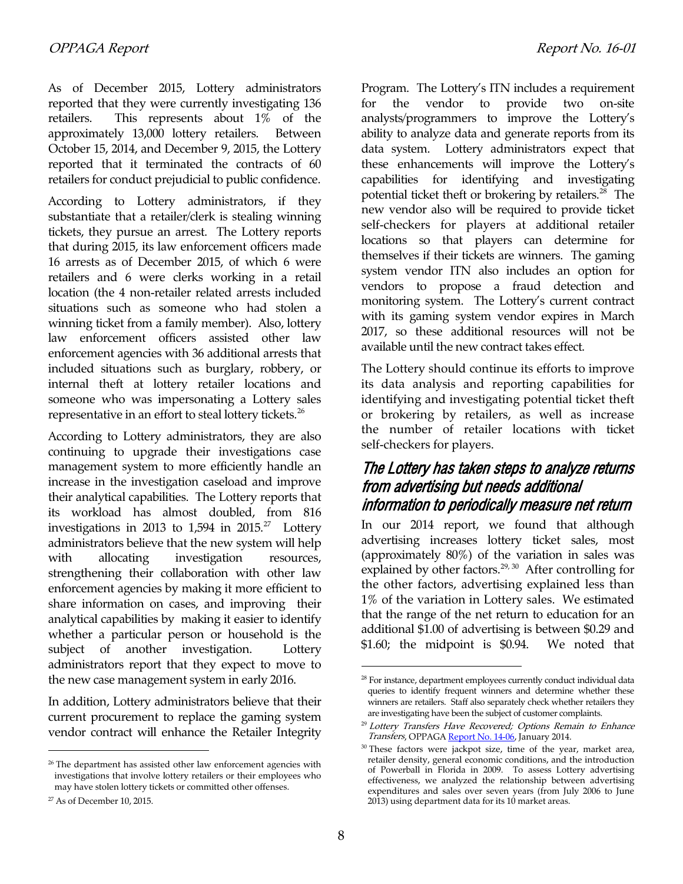As of December 2015, Lottery administrators reported that they were currently investigating 136 retailers. This represents about 1% of the approximately 13,000 lottery retailers. Between October 15, 2014, and December 9, 2015, the Lottery reported that it terminated the contracts of 60 retailers for conduct prejudicial to public confidence.

According to Lottery administrators, if they substantiate that a retailer/clerk is stealing winning tickets, they pursue an arrest. The Lottery reports that during 2015, its law enforcement officers made 16 arrests as of December 2015, of which 6 were retailers and 6 were clerks working in a retail location (the 4 non-retailer related arrests included situations such as someone who had stolen a winning ticket from a family member). Also, lottery law enforcement officers assisted other law enforcement agencies with 36 additional arrests that included situations such as burglary, robbery, or internal theft at lottery retailer locations and someone who was impersonating a Lottery sales representative in an effort to steal lottery tickets. $^{26}$  $^{26}$  $^{26}$ 

According to Lottery administrators, they are also continuing to upgrade their investigations case management system to more efficiently handle an increase in the investigation caseload and improve their analytical capabilities. The Lottery reports that its workload has almost doubled, from 816 investigations in 2013 to  $1,594$  in  $2015.^{27}$  $2015.^{27}$  $2015.^{27}$  Lottery administrators believe that the new system will help with allocating investigation resources, strengthening their collaboration with other law enforcement agencies by making it more efficient to share information on cases, and improving their analytical capabilities by making it easier to identify whether a particular person or household is the subject of another investigation. Lottery administrators report that they expect to move to the new case management system in early 2016.

<span id="page-7-3"></span><span id="page-7-2"></span>In addition, Lottery administrators believe that their current procurement to replace the gaming system vendor contract will enhance the Retailer Integrity

<span id="page-7-4"></span> $\overline{a}$ 

Program. The Lottery's ITN includes a requirement for the vendor to provide two on-site analysts/programmers to improve the Lottery's ability to analyze data and generate reports from its data system. Lottery administrators expect that these enhancements will improve the Lottery's capabilities for identifying and investigating potential ticket theft or brokering by retailers. [28](#page-7-2) The new vendor also will be required to provide ticket self-checkers for players at additional retailer locations so that players can determine for themselves if their tickets are winners. The gaming system vendor ITN also includes an option for vendors to propose a fraud detection and monitoring system. The Lottery's current contract with its gaming system vendor expires in March 2017, so these additional resources will not be available until the new contract takes effect.

The Lottery should continue its efforts to improve its data analysis and reporting capabilities for identifying and investigating potential ticket theft or brokering by retailers, as well as increase the number of retailer locations with ticket self-checkers for players.

#### The Lottery has taken steps to analyze returns from advertising but needs additional information to periodically measure net return

In our 2014 report, we found that although advertising increases lottery ticket sales, most (approximately 80%) of the variation in sales was explained by other factors. $29,30$  $29,30$  After controlling for the other factors, advertising explained less than 1% of the variation in Lottery sales. We estimated that the range of the net return to education for an additional \$1.00 of advertising is between \$0.29 and \$1.60; the midpoint is \$0.94. We noted that

<span id="page-7-0"></span> $26$  The department has assisted other law enforcement agencies with investigations that involve lottery retailers or their employees who may have stolen lottery tickets or committed other offenses.

<span id="page-7-1"></span><sup>27</sup> As of December 10, 2015.

 $28$  For instance, department employees currently conduct individual data queries to identify frequent winners and determine whether these winners are retailers. Staff also separately check whether retailers they are investigating have been the subject of customer complaints.

<sup>&</sup>lt;sup>29</sup> Lottery Transfers Have Recovered; Options Remain to Enhance Transfers, OPPAG[A Report No. 14-06,](http://www.oppaga.state.fl.us/MonitorDocs/Reports/pdf/1406rpt.pdf) January 2014.

<sup>&</sup>lt;sup>30</sup> These factors were jackpot size, time of the year, market area, retailer density, general economic conditions, and the introduction of Powerball in Florida in 2009. To assess Lottery advertising effectiveness, we analyzed the relationship between advertising expenditures and sales over seven years (from July 2006 to June 2013) using department data for its 10 market areas.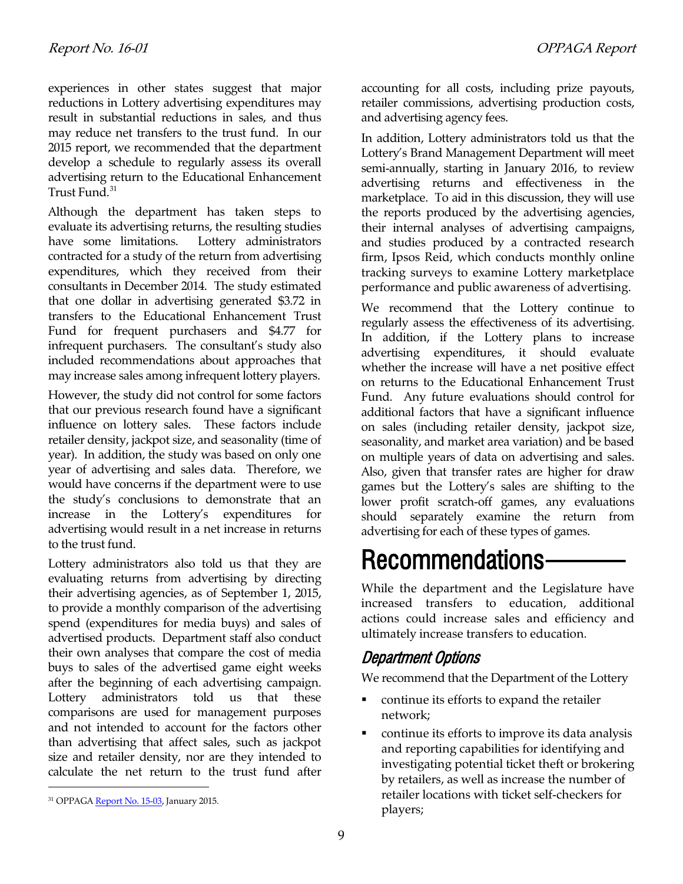experiences in other states suggest that major reductions in Lottery advertising expenditures may result in substantial reductions in sales, and thus may reduce net transfers to the trust fund. In our 2015 report, we recommended that the department develop a schedule to regularly assess its overall advertising return to the Educational Enhancement Trust Fund.<sup>[31](#page-8-0)</sup>

Although the department has taken steps to evaluate its advertising returns, the resulting studies have some limitations. Lottery administrators contracted for a study of the return from advertising expenditures, which they received from their consultants in December 2014. The study estimated that one dollar in advertising generated \$3.72 in transfers to the Educational Enhancement Trust Fund for frequent purchasers and \$4.77 for infrequent purchasers. The consultant's study also included recommendations about approaches that may increase sales among infrequent lottery players.

However, the study did not control for some factors that our previous research found have a significant influence on lottery sales. These factors include retailer density, jackpot size, and seasonality (time of year). In addition, the study was based on only one year of advertising and sales data. Therefore, we would have concerns if the department were to use the study's conclusions to demonstrate that an increase in the Lottery's expenditures for advertising would result in a net increase in returns to the trust fund.

Lottery administrators also told us that they are evaluating returns from advertising by directing their advertising agencies, as of September 1, 2015, to provide a monthly comparison of the advertising spend (expenditures for media buys) and sales of advertised products. Department staff also conduct their own analyses that compare the cost of media buys to sales of the advertised game eight weeks after the beginning of each advertising campaign. Lottery administrators told us that these comparisons are used for management purposes and not intended to account for the factors other than advertising that affect sales, such as jackpot size and retailer density, nor are they intended to calculate the net return to the trust fund after

 $\overline{a}$ 

accounting for all costs, including prize payouts, retailer commissions, advertising production costs, and advertising agency fees.

In addition, Lottery administrators told us that the Lottery's Brand Management Department will meet semi-annually, starting in January 2016, to review advertising returns and effectiveness in the marketplace. To aid in this discussion, they will use the reports produced by the advertising agencies, their internal analyses of advertising campaigns, and studies produced by a contracted research firm, Ipsos Reid, which conducts monthly online tracking surveys to examine Lottery marketplace performance and public awareness of advertising.

We recommend that the Lottery continue to regularly assess the effectiveness of its advertising. In addition, if the Lottery plans to increase advertising expenditures, it should evaluate whether the increase will have a net positive effect on returns to the Educational Enhancement Trust Fund. Any future evaluations should control for additional factors that have a significant influence on sales (including retailer density, jackpot size, seasonality, and market area variation) and be based on multiple years of data on advertising and sales. Also, given that transfer rates are higher for draw games but the Lottery's sales are shifting to the lower profit scratch-off games, any evaluations should separately examine the return from advertising for each of these types of games.

### Recommendations-

While the department and the Legislature have increased transfers to education, additional actions could increase sales and efficiency and ultimately increase transfers to education.

### Department Options

We recommend that the Department of the Lottery

- continue its efforts to expand the retailer network;
- continue its efforts to improve its data analysis and reporting capabilities for identifying and investigating potential ticket theft or brokering by retailers, as well as increase the number of retailer locations with ticket self-checkers for players;

<span id="page-8-0"></span><sup>&</sup>lt;sup>31</sup> OPPAG[A Report No. 15-03,](http://www.oppaga.state.fl.us/Summary.aspx?reportNum=15-03) January 2015.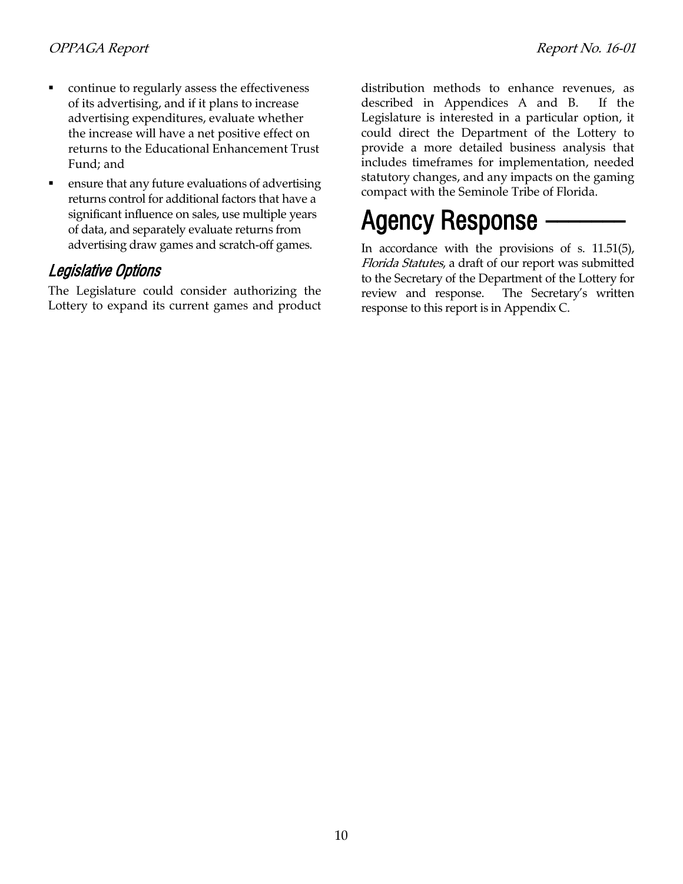- continue to regularly assess the effectiveness of its advertising, and if it plans to increase advertising expenditures, evaluate whether the increase will have a net positive effect on returns to the Educational Enhancement Trust Fund; and
- ensure that any future evaluations of advertising returns control for additional factors that have a significant influence on sales, use multiple years of data, and separately evaluate returns from advertising draw games and scratch-off games.

### Legislative Options

The Legislature could consider authorizing the Lottery to expand its current games and product distribution methods to enhance revenues, as described in Appendices A and B. If the Legislature is interested in a particular option, it could direct the Department of the Lottery to provide a more detailed business analysis that includes timeframes for implementation, needed statutory changes, and any impacts on the gaming compact with the Seminole Tribe of Florida.

### Agency Response -

In accordance with the provisions of s. 11.51(5), Florida Statutes, a draft of our report was submitted to the Secretary of the Department of the Lottery for review and response. The Secretary's written response to this report is in Appendix C.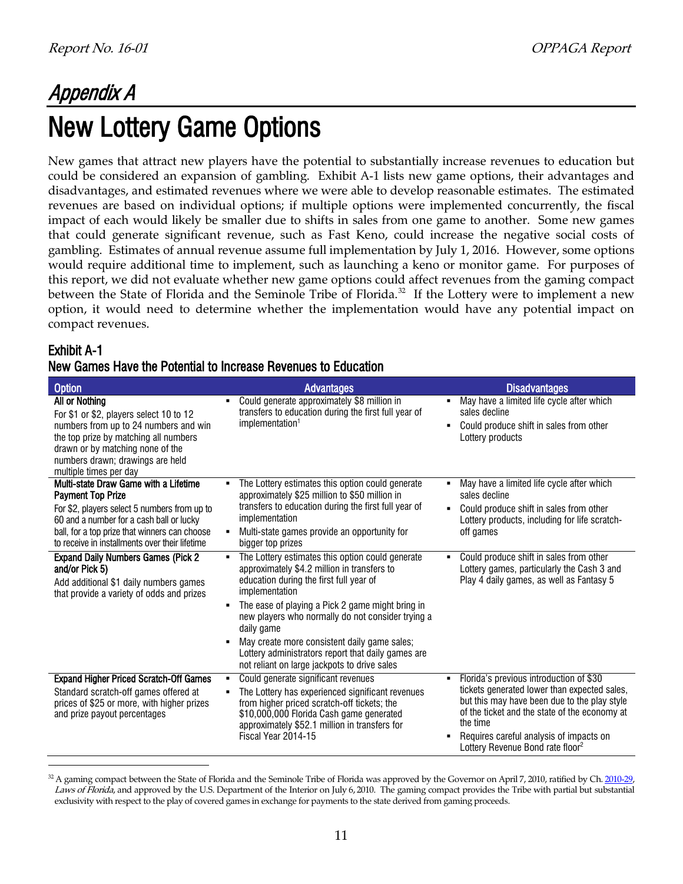## Appendix A New Lottery Game Options

New games that attract new players have the potential to substantially increase revenues to education but could be considered an expansion of gambling. Exhibit A-1 lists new game options, their advantages and disadvantages, and estimated revenues where we were able to develop reasonable estimates. The estimated revenues are based on individual options; if multiple options were implemented concurrently, the fiscal impact of each would likely be smaller due to shifts in sales from one game to another. Some new games that could generate significant revenue, such as Fast Keno, could increase the negative social costs of gambling. Estimates of annual revenue assume full implementation by July 1, 2016. However, some options would require additional time to implement, such as launching a keno or monitor game. For purposes of this report, we did not evaluate whether new game options could affect revenues from the gaming compact between the State of Florida and the Seminole Tribe of Florida.<sup>32</sup> If the Lottery were to implement a new option, it would need to determine whether the implementation would have any potential impact on compact revenues.

### Exhibit A-1

 $\overline{a}$ 

#### New Games Have the Potential to Increase Revenues to Education

| <b>Option</b>                                                                                                                                                                                                                                                    | <b>Advantages</b>                                                                                                                                                                                                                                                                                                                                                                                                                              | <b>Disadvantages</b>                                                                                                                                                                                                                                                                                 |
|------------------------------------------------------------------------------------------------------------------------------------------------------------------------------------------------------------------------------------------------------------------|------------------------------------------------------------------------------------------------------------------------------------------------------------------------------------------------------------------------------------------------------------------------------------------------------------------------------------------------------------------------------------------------------------------------------------------------|------------------------------------------------------------------------------------------------------------------------------------------------------------------------------------------------------------------------------------------------------------------------------------------------------|
| All or Nothing<br>For \$1 or \$2, players select 10 to 12<br>numbers from up to 24 numbers and win<br>the top prize by matching all numbers<br>drawn or by matching none of the<br>numbers drawn; drawings are held<br>multiple times per day                    | Could generate approximately \$8 million in<br>transfers to education during the first full year of<br>implementation <sup>1</sup>                                                                                                                                                                                                                                                                                                             | May have a limited life cycle after which<br>$\blacksquare$<br>sales decline<br>Could produce shift in sales from other<br>Lottery products                                                                                                                                                          |
| Multi-state Draw Game with a Lifetime<br><b>Payment Top Prize</b><br>For \$2, players select 5 numbers from up to<br>60 and a number for a cash ball or lucky<br>ball, for a top prize that winners can choose<br>to receive in installments over their lifetime | The Lottery estimates this option could generate<br>approximately \$25 million to \$50 million in<br>transfers to education during the first full year of<br>implementation<br>Multi-state games provide an opportunity for<br>bigger top prizes                                                                                                                                                                                               | May have a limited life cycle after which<br>sales decline<br>Could produce shift in sales from other<br>Lottery products, including for life scratch-<br>off games                                                                                                                                  |
| <b>Expand Daily Numbers Games (Pick 2)</b><br>and/or Pick 5)<br>Add additional \$1 daily numbers games<br>that provide a variety of odds and prizes                                                                                                              | The Lottery estimates this option could generate<br>٠<br>approximately \$4.2 million in transfers to<br>education during the first full year of<br>implementation<br>The ease of playing a Pick 2 game might bring in<br>new players who normally do not consider trying a<br>daily game<br>May create more consistent daily game sales;<br>Lottery administrators report that daily games are<br>not reliant on large jackpots to drive sales | Could produce shift in sales from other<br>٠<br>Lottery games, particularly the Cash 3 and<br>Play 4 daily games, as well as Fantasy 5                                                                                                                                                               |
| <b>Expand Higher Priced Scratch-Off Games</b><br>Standard scratch-off games offered at<br>prices of \$25 or more, with higher prizes<br>and prize payout percentages                                                                                             | Could generate significant revenues<br>$\blacksquare$<br>The Lottery has experienced significant revenues<br>from higher priced scratch-off tickets; the<br>\$10,000,000 Florida Cash game generated<br>approximately \$52.1 million in transfers for<br>Fiscal Year 2014-15                                                                                                                                                                   | Florida's previous introduction of \$30<br>٠<br>tickets generated lower than expected sales,<br>but this may have been due to the play style<br>of the ticket and the state of the economy at<br>the time<br>Requires careful analysis of impacts on<br>Lottery Revenue Bond rate floor <sup>2</sup> |

<span id="page-10-0"></span><sup>&</sup>lt;sup>32</sup> A gaming compact between the State of Florida and the Seminole Tribe of Florida was approved by the Governor on April 7, 2010, ratified by Ch. 2010-29, Laws of Florida, and approved by the U.S. Department of the Interior on July 6, 2010. The gaming compact provides the Tribe with partial but substantial exclusivity with respect to the play of covered games in exchange for payments to the state derived from gaming proceeds.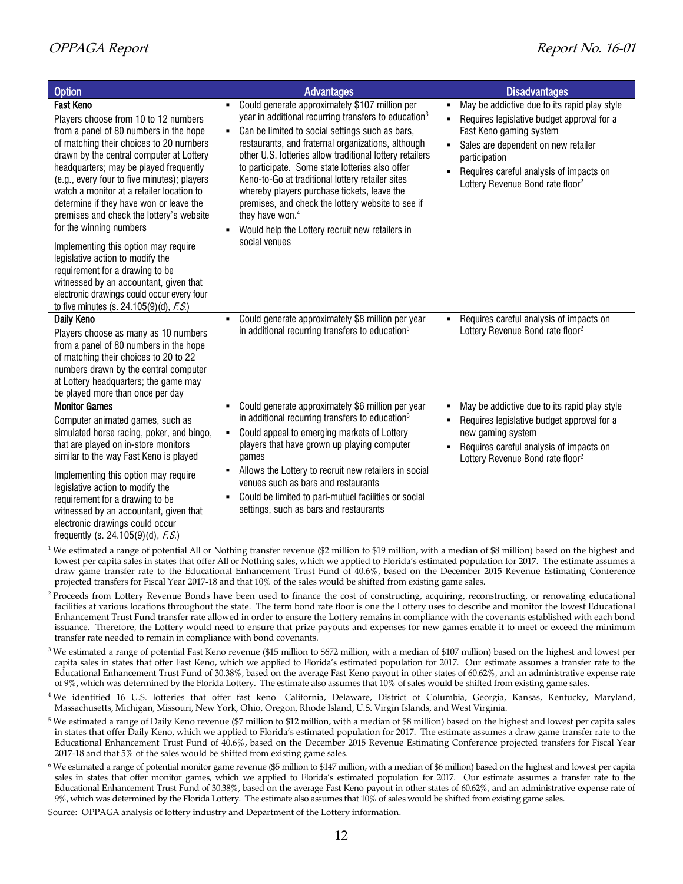| <b>Option</b>                                                                                                                                                                                                                                                                                                                                                                                                                                                                                                                                                                                                                                                                                             | <b>Advantages</b>                                                                                                                                                                                                                                                                                                                                                                                                                                                                                                                                                                                                | <b>Disadvantages</b>                                                                                                                                                                                                                                                               |
|-----------------------------------------------------------------------------------------------------------------------------------------------------------------------------------------------------------------------------------------------------------------------------------------------------------------------------------------------------------------------------------------------------------------------------------------------------------------------------------------------------------------------------------------------------------------------------------------------------------------------------------------------------------------------------------------------------------|------------------------------------------------------------------------------------------------------------------------------------------------------------------------------------------------------------------------------------------------------------------------------------------------------------------------------------------------------------------------------------------------------------------------------------------------------------------------------------------------------------------------------------------------------------------------------------------------------------------|------------------------------------------------------------------------------------------------------------------------------------------------------------------------------------------------------------------------------------------------------------------------------------|
| <b>Fast Keno</b><br>Players choose from 10 to 12 numbers<br>from a panel of 80 numbers in the hope<br>of matching their choices to 20 numbers<br>drawn by the central computer at Lottery<br>headquarters; may be played frequently<br>(e.g., every four to five minutes); players<br>watch a monitor at a retailer location to<br>determine if they have won or leave the<br>premises and check the lottery's website<br>for the winning numbers<br>Implementing this option may require<br>legislative action to modify the<br>requirement for a drawing to be<br>witnessed by an accountant, given that<br>electronic drawings could occur every four<br>to five minutes (s. $24.105(9)(d)$ , $F.S$ .) | Could generate approximately \$107 million per<br>٠.<br>year in additional recurring transfers to education <sup>3</sup><br>Can be limited to social settings such as bars,<br>٠<br>restaurants, and fraternal organizations, although<br>other U.S. lotteries allow traditional lottery retailers<br>to participate. Some state lotteries also offer<br>Keno-to-Go at traditional lottery retailer sites<br>whereby players purchase tickets, leave the<br>premises, and check the lottery website to see if<br>they have won. <sup>4</sup><br>Would help the Lottery recruit new retailers in<br>social venues | May be addictive due to its rapid play style<br>٠<br>Requires legislative budget approval for a<br>Fast Keno gaming system<br>Sales are dependent on new retailer<br>٠<br>participation<br>Requires careful analysis of impacts on<br>Lottery Revenue Bond rate floor <sup>2</sup> |
| Daily Keno<br>Players choose as many as 10 numbers<br>from a panel of 80 numbers in the hope<br>of matching their choices to 20 to 22<br>numbers drawn by the central computer<br>at Lottery headquarters; the game may<br>be played more than once per day                                                                                                                                                                                                                                                                                                                                                                                                                                               | Could generate approximately \$8 million per year<br>٠<br>in additional recurring transfers to education <sup>5</sup>                                                                                                                                                                                                                                                                                                                                                                                                                                                                                            | Requires careful analysis of impacts on<br>٠<br>Lottery Revenue Bond rate floor <sup>2</sup>                                                                                                                                                                                       |
| <b>Monitor Games</b><br>Computer animated games, such as<br>simulated horse racing, poker, and bingo,<br>that are played on in-store monitors<br>similar to the way Fast Keno is played<br>Implementing this option may require<br>legislative action to modify the<br>requirement for a drawing to be<br>witnessed by an accountant, given that<br>electronic drawings could occur<br>frequently (s. 24.105(9)(d), $F.S.$ )                                                                                                                                                                                                                                                                              | Could generate approximately \$6 million per year<br>٠<br>in additional recurring transfers to education <sup>6</sup><br>Could appeal to emerging markets of Lottery<br>٠<br>players that have grown up playing computer<br>qames<br>Allows the Lottery to recruit new retailers in social<br>venues such as bars and restaurants<br>Could be limited to pari-mutuel facilities or social<br>٠<br>settings, such as bars and restaurants                                                                                                                                                                         | May be addictive due to its rapid play style<br>٠<br>Requires legislative budget approval for a<br>٠<br>new gaming system<br>Requires careful analysis of impacts on<br>Lottery Revenue Bond rate floor <sup>2</sup>                                                               |

<sup>1</sup> We estimated a range of potential All or Nothing transfer revenue (\$2 million to \$19 million, with a median of \$8 million) based on the highest and lowest per capita sales in states that offer All or Nothing sales, which we applied to Florida's estimated population for 2017. The estimate assumes a draw game transfer rate to the Educational Enhancement Trust Fund of 40.6%, based on the December 2015 Revenue Estimating Conference projected transfers for Fiscal Year 2017-18 and that 10% of the sales would be shifted from existing game sales.

<sup>2</sup> Proceeds from Lottery Revenue Bonds have been used to finance the cost of constructing, acquiring, reconstructing, or renovating educational facilities at various locations throughout the state. The term bond rate floor is one the Lottery uses to describe and monitor the lowest Educational Enhancement Trust Fund transfer rate allowed in order to ensure the Lottery remains in compliance with the covenants established with each bond issuance. Therefore, the Lottery would need to ensure that prize payouts and expenses for new games enable it to meet or exceed the minimum transfer rate needed to remain in compliance with bond covenants.

<sup>3</sup> We estimated a range of potential Fast Keno revenue (\$15 million to \$672 million, with a median of \$107 million) based on the highest and lowest per capita sales in states that offer Fast Keno, which we applied to Florida's estimated population for 2017. Our estimate assumes a transfer rate to the Educational Enhancement Trust Fund of 30.38%, based on the average Fast Keno payout in other states of 60.62%, and an administrative expense rate of 9%, which was determined by the Florida Lottery. The estimate also assumes that 10% of sales would be shifted from existing game sales.

<sup>4</sup> We identified 16 U.S. lotteries that offer fast keno—California, Delaware, District of Columbia, Georgia, Kansas, Kentucky, Maryland, Massachusetts, Michigan, Missouri, New York, Ohio, Oregon, Rhode Island, U.S. Virgin Islands, and West Virginia.

 $5$  We estimated a range of Daily Keno revenue (\$7 million to \$12 million, with a median of \$8 million) based on the highest and lowest per capita sales in states that offer Daily Keno, which we applied to Florida's estimated population for 2017. The estimate assumes a draw game transfer rate to the Educational Enhancement Trust Fund of 40.6%, based on the December 2015 Revenue Estimating Conference projected transfers for Fiscal Year 2017-18 and that 5% of the sales would be shifted from existing game sales.

 $6$  We estimated a range of potential monitor game revenue (\$5 million to \$147 million, with a median of \$6 million) based on the highest and lowest per capita sales in states that offer monitor games, which we applied to Florida's estimated population for 2017. Our estimate assumes a transfer rate to the Educational Enhancement Trust Fund of 30.38%, based on the average Fast Keno payout in other states of 60.62%, and an administrative expense rate of 9%, which was determined by the Florida Lottery. The estimate also assumes that 10% of sales would be shifted from existing game sales.

Source: OPPAGA analysis of lottery industry and Department of the Lottery information.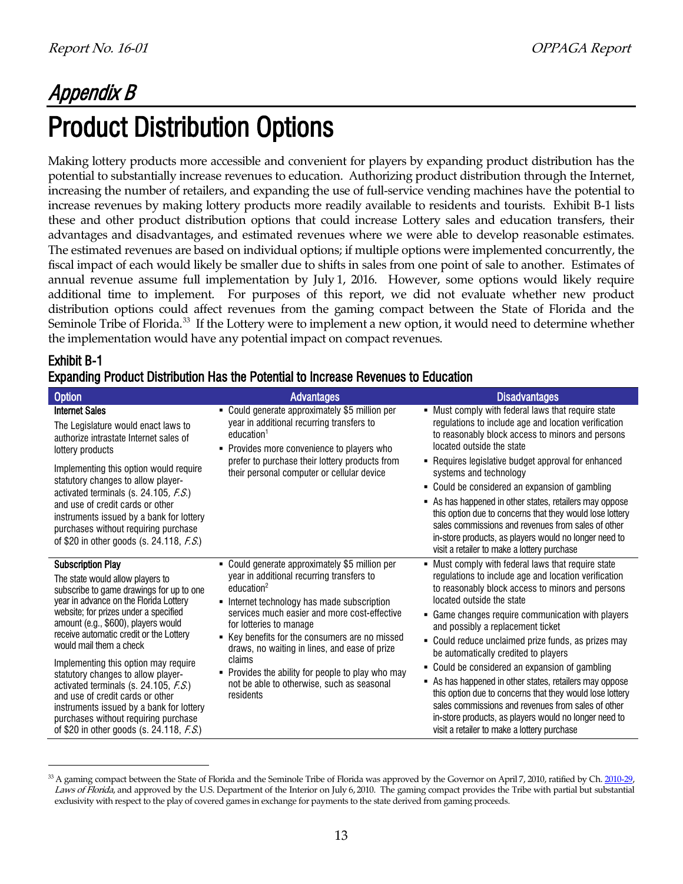### Appendix B Product Distribution Options

Making lottery products more accessible and convenient for players by expanding product distribution has the potential to substantially increase revenues to education. Authorizing product distribution through the Internet, increasing the number of retailers, and expanding the use of full-service vending machines have the potential to increase revenues by making lottery products more readily available to residents and tourists. Exhibit B-1 lists these and other product distribution options that could increase Lottery sales and education transfers, their advantages and disadvantages, and estimated revenues where we were able to develop reasonable estimates. The estimated revenues are based on individual options; if multiple options were implemented concurrently, the fiscal impact of each would likely be smaller due to shifts in sales from one point of sale to another. Estimates of annual revenue assume full implementation by July 1, 2016. However, some options would likely require additional time to implement. For purposes of this report, we did not evaluate whether new product distribution options could affect revenues from the gaming compact between the State of Florida and the Seminole Tribe of Florida.<sup>33</sup> If the Lottery were to implement a new option, it would need to determine whether the implementation would have any potential impact on compact revenues.

### Exhibit B-1

 $\overline{a}$ 

#### Expanding Product Distribution Has the Potential to Increase Revenues to Education

| <b>Option</b>                                                                                                                                                                                                                                                                                                                                                                                                                                                                                                                                                                                       | <b>Advantages</b>                                                                                                                                                                                                                                                                                                                                                                                                                                                            | <b>Disadvantages</b>                                                                                                                                                                                                                                                                                                                                                                                                                                                                                                                                                                                                                                                                                                      |
|-----------------------------------------------------------------------------------------------------------------------------------------------------------------------------------------------------------------------------------------------------------------------------------------------------------------------------------------------------------------------------------------------------------------------------------------------------------------------------------------------------------------------------------------------------------------------------------------------------|------------------------------------------------------------------------------------------------------------------------------------------------------------------------------------------------------------------------------------------------------------------------------------------------------------------------------------------------------------------------------------------------------------------------------------------------------------------------------|---------------------------------------------------------------------------------------------------------------------------------------------------------------------------------------------------------------------------------------------------------------------------------------------------------------------------------------------------------------------------------------------------------------------------------------------------------------------------------------------------------------------------------------------------------------------------------------------------------------------------------------------------------------------------------------------------------------------------|
| <b>Internet Sales</b><br>The Legislature would enact laws to<br>authorize intrastate Internet sales of<br>lottery products<br>Implementing this option would require<br>statutory changes to allow player-<br>activated terminals (s. 24.105, F.S.)<br>and use of credit cards or other<br>instruments issued by a bank for lottery<br>purchases without requiring purchase<br>of \$20 in other goods (s. 24.118, $F.S.$ )                                                                                                                                                                          | • Could generate approximately \$5 million per<br>year in additional recurring transfers to<br>education <sup>1</sup><br>• Provides more convenience to players who<br>prefer to purchase their lottery products from<br>their personal computer or cellular device                                                                                                                                                                                                          | • Must comply with federal laws that require state<br>regulations to include age and location verification<br>to reasonably block access to minors and persons<br>located outside the state<br>• Requires legislative budget approval for enhanced<br>systems and technology<br>• Could be considered an expansion of gambling<br>As has happened in other states, retailers may oppose<br>this option due to concerns that they would lose lottery<br>sales commissions and revenues from sales of other<br>in-store products, as players would no longer need to<br>visit a retailer to make a lottery purchase                                                                                                         |
| <b>Subscription Play</b><br>The state would allow players to<br>subscribe to game drawings for up to one<br>year in advance on the Florida Lottery<br>website; for prizes under a specified<br>amount (e.g., \$600), players would<br>receive automatic credit or the Lottery<br>would mail them a check<br>Implementing this option may require<br>statutory changes to allow player-<br>activated terminals (s. 24.105, F.S.)<br>and use of credit cards or other<br>instruments issued by a bank for lottery<br>purchases without requiring purchase<br>of \$20 in other goods (s. 24.118, F.S.) | • Could generate approximately \$5 million per<br>year in additional recurring transfers to<br>education <sup>2</sup><br>• Internet technology has made subscription<br>services much easier and more cost-effective<br>for lotteries to manage<br>• Key benefits for the consumers are no missed<br>draws, no waiting in lines, and ease of prize<br>claims<br>• Provides the ability for people to play who may<br>not be able to otherwise, such as seasonal<br>residents | • Must comply with federal laws that require state<br>regulations to include age and location verification<br>to reasonably block access to minors and persons<br>located outside the state<br>• Game changes require communication with players<br>and possibly a replacement ticket<br>• Could reduce unclaimed prize funds, as prizes may<br>be automatically credited to players<br>• Could be considered an expansion of gambling<br>As has happened in other states, retailers may oppose<br>this option due to concerns that they would lose lottery<br>sales commissions and revenues from sales of other<br>in-store products, as players would no longer need to<br>visit a retailer to make a lottery purchase |

<span id="page-12-0"></span><sup>&</sup>lt;sup>33</sup> A gaming compact between the State of Florida and the Seminole Tribe of Florida was approved by the Governor on April 7, 2010, ratified by Ch. 2010-29, Laws of Florida, and approved by the U.S. Department of the Interior on July 6, 2010. The gaming compact provides the Tribe with partial but substantial exclusivity with respect to the play of covered games in exchange for payments to the state derived from gaming proceeds.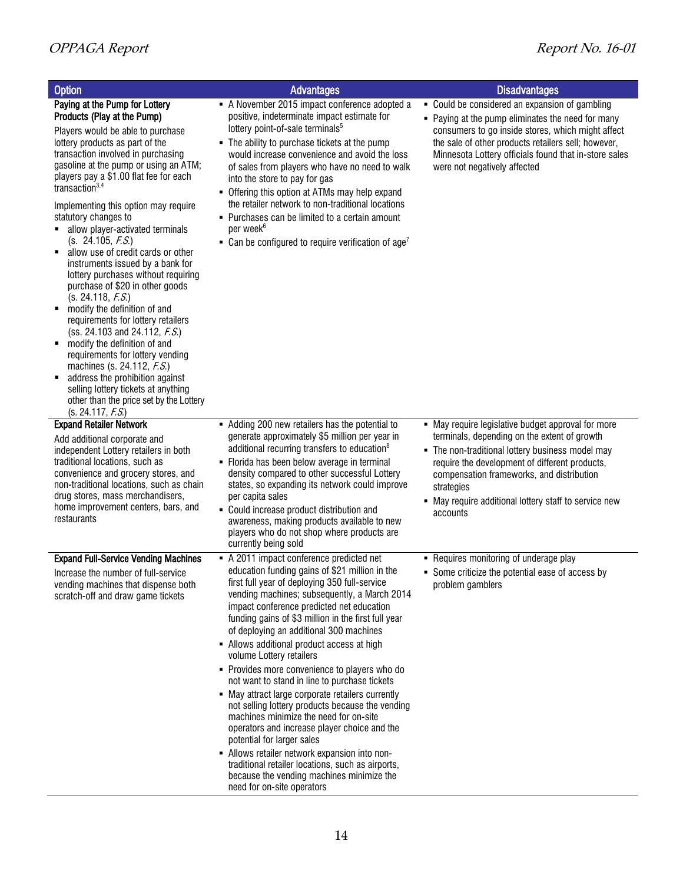| <b>Option</b>                                                                                                                                                                                                                                                                                                                                                                                                                                                                                                                                                                                                                                                                                                                                                                                                                                                                                                                                                           | <b>Advantages</b>                                                                                                                                                                                                                                                                                                                                                                                                                                                                                                                                                                                                                                                                                                                                                                                                                                                                                                                        | <b>Disadvantages</b>                                                                                                                                                                                                                                                                                                                   |
|-------------------------------------------------------------------------------------------------------------------------------------------------------------------------------------------------------------------------------------------------------------------------------------------------------------------------------------------------------------------------------------------------------------------------------------------------------------------------------------------------------------------------------------------------------------------------------------------------------------------------------------------------------------------------------------------------------------------------------------------------------------------------------------------------------------------------------------------------------------------------------------------------------------------------------------------------------------------------|------------------------------------------------------------------------------------------------------------------------------------------------------------------------------------------------------------------------------------------------------------------------------------------------------------------------------------------------------------------------------------------------------------------------------------------------------------------------------------------------------------------------------------------------------------------------------------------------------------------------------------------------------------------------------------------------------------------------------------------------------------------------------------------------------------------------------------------------------------------------------------------------------------------------------------------|----------------------------------------------------------------------------------------------------------------------------------------------------------------------------------------------------------------------------------------------------------------------------------------------------------------------------------------|
| Paying at the Pump for Lottery<br>Products (Play at the Pump)<br>Players would be able to purchase<br>lottery products as part of the<br>transaction involved in purchasing<br>gasoline at the pump or using an ATM;<br>players pay a \$1.00 flat fee for each<br>transaction $3,4$<br>Implementing this option may require<br>statutory changes to<br>allow player-activated terminals<br>٠<br>(s. 24.105, F.S.)<br>allow use of credit cards or other<br>٠<br>instruments issued by a bank for<br>lottery purchases without requiring<br>purchase of \$20 in other goods<br>(s. 24.118, F.S.)<br>modify the definition of and<br>٠<br>requirements for lottery retailers<br>(ss. 24.103 and 24.112, $F.S.$ )<br>modify the definition of and<br>٠<br>requirements for lottery vending<br>machines (s. 24.112, $F.S.$ )<br>address the prohibition against<br>٠<br>selling lottery tickets at anything<br>other than the price set by the Lottery<br>(s. 24.117, F.S.) | - A November 2015 impact conference adopted a<br>positive, indeterminate impact estimate for<br>lottery point-of-sale terminals <sup>5</sup><br>• The ability to purchase tickets at the pump<br>would increase convenience and avoid the loss<br>of sales from players who have no need to walk<br>into the store to pay for gas<br>• Offering this option at ATMs may help expand<br>the retailer network to non-traditional locations<br>• Purchases can be limited to a certain amount<br>per week <sup>6</sup><br>• Can be configured to require verification of age <sup>7</sup>                                                                                                                                                                                                                                                                                                                                                   | • Could be considered an expansion of gambling<br>• Paying at the pump eliminates the need for many<br>consumers to go inside stores, which might affect<br>the sale of other products retailers sell; however,<br>Minnesota Lottery officials found that in-store sales<br>were not negatively affected                               |
| <b>Expand Retailer Network</b><br>Add additional corporate and<br>independent Lottery retailers in both<br>traditional locations, such as<br>convenience and grocery stores, and<br>non-traditional locations, such as chain<br>drug stores, mass merchandisers,<br>home improvement centers, bars, and<br>restaurants                                                                                                                                                                                                                                                                                                                                                                                                                                                                                                                                                                                                                                                  | • Adding 200 new retailers has the potential to<br>generate approximately \$5 million per year in<br>additional recurring transfers to education <sup>8</sup><br>• Florida has been below average in terminal<br>density compared to other successful Lottery<br>states, so expanding its network could improve<br>per capita sales<br>• Could increase product distribution and<br>awareness, making products available to new<br>players who do not shop where products are<br>currently being sold                                                                                                                                                                                                                                                                                                                                                                                                                                    | • May require legislative budget approval for more<br>terminals, depending on the extent of growth<br>• The non-traditional lottery business model may<br>require the development of different products,<br>compensation frameworks, and distribution<br>strategies<br>May require additional lottery staff to service new<br>accounts |
| <b>Expand Full-Service Vending Machines</b><br>Increase the number of full-service<br>vending machines that dispense both<br>scratch-off and draw game tickets                                                                                                                                                                                                                                                                                                                                                                                                                                                                                                                                                                                                                                                                                                                                                                                                          | - A 2011 impact conference predicted net<br>education funding gains of \$21 million in the<br>first full year of deploying 350 full-service<br>vending machines; subsequently, a March 2014<br>impact conference predicted net education<br>funding gains of \$3 million in the first full year<br>of deploying an additional 300 machines<br>- Allows additional product access at high<br>volume Lottery retailers<br>• Provides more convenience to players who do<br>not want to stand in line to purchase tickets<br>• May attract large corporate retailers currently<br>not selling lottery products because the vending<br>machines minimize the need for on-site<br>operators and increase player choice and the<br>potential for larger sales<br>- Allows retailer network expansion into non-<br>traditional retailer locations, such as airports,<br>because the vending machines minimize the<br>need for on-site operators | • Requires monitoring of underage play<br>• Some criticize the potential ease of access by<br>problem gamblers                                                                                                                                                                                                                         |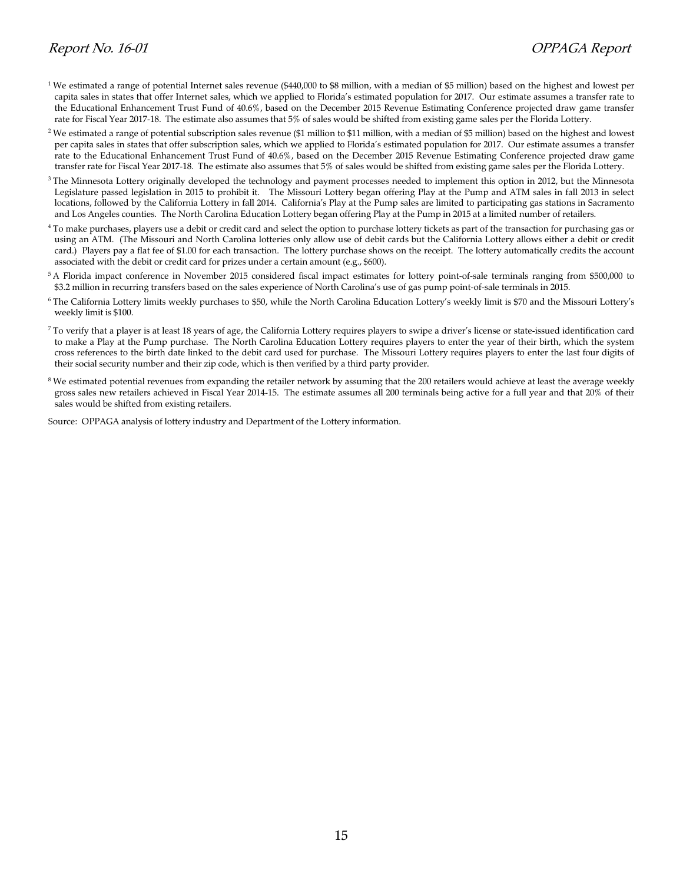- <sup>1</sup> We estimated a range of potential Internet sales revenue (\$440,000 to \$8 million, with a median of \$5 million) based on the highest and lowest per capita sales in states that offer Internet sales, which we applied to Florida's estimated population for 2017. Our estimate assumes a transfer rate to the Educational Enhancement Trust Fund of 40.6%, based on the December 2015 Revenue Estimating Conference projected draw game transfer rate for Fiscal Year 2017-18. The estimate also assumes that 5% of sales would be shifted from existing game sales per the Florida Lottery.
- <sup>2</sup> We estimated a range of potential subscription sales revenue (\$1 million to \$11 million, with a median of \$5 million) based on the highest and lowest per capita sales in states that offer subscription sales, which we applied to Florida's estimated population for 2017. Our estimate assumes a transfer rate to the Educational Enhancement Trust Fund of 40.6%, based on the December 2015 Revenue Estimating Conference projected draw game transfer rate for Fiscal Year 2017-18. The estimate also assumes that 5% of sales would be shifted from existing game sales per the Florida Lottery.
- <sup>3</sup> The Minnesota Lottery originally developed the technology and payment processes needed to implement this option in 2012, but the Minnesota Legislature passed legislation in 2015 to prohibit it. The Missouri Lottery began offering Play at the Pump and ATM sales in fall 2013 in select locations, followed by the California Lottery in fall 2014. California's Play at the Pump sales are limited to participating gas stations in Sacramento and Los Angeles counties. The North Carolina Education Lottery began offering Play at the Pump in 2015 at a limited number of retailers.
- <sup>4</sup> To make purchases, players use a debit or credit card and select the option to purchase lottery tickets as part of the transaction for purchasing gas or using an ATM. (The Missouri and North Carolina lotteries only allow use of debit cards but the California Lottery allows either a debit or credit card.) Players pay a flat fee of \$1.00 for each transaction. The lottery purchase shows on the receipt. The lottery automatically credits the account associated with the debit or credit card for prizes under a certain amount (e.g., \$600).
- <sup>5</sup> A Florida impact conference in November 2015 considered fiscal impact estimates for lottery point-of-sale terminals ranging from \$500,000 to \$3.2 million in recurring transfers based on the sales experience of North Carolina's use of gas pump point-of-sale terminals in 2015.
- <sup>6</sup> The California Lottery limits weekly purchases to \$50, while the North Carolina Education Lottery's weekly limit is \$70 and the Missouri Lottery's weekly limit is \$100.
- $^7$  To verify that a player is at least 18 years of age, the California Lottery requires players to swipe a driver's license or state-issued identification card to make a Play at the Pump purchase. The North Carolina Education Lottery requires players to enter the year of their birth, which the system cross references to the birth date linked to the debit card used for purchase. The Missouri Lottery requires players to enter the last four digits of their social security number and their zip code, which is then verified by a third party provider.
- $8$  We estimated potential revenues from expanding the retailer network by assuming that the 200 retailers would achieve at least the average weekly gross sales new retailers achieved in Fiscal Year 2014-15. The estimate assumes all 200 terminals being active for a full year and that 20% of their sales would be shifted from existing retailers.

Source: OPPAGA analysis of lottery industry and Department of the Lottery information.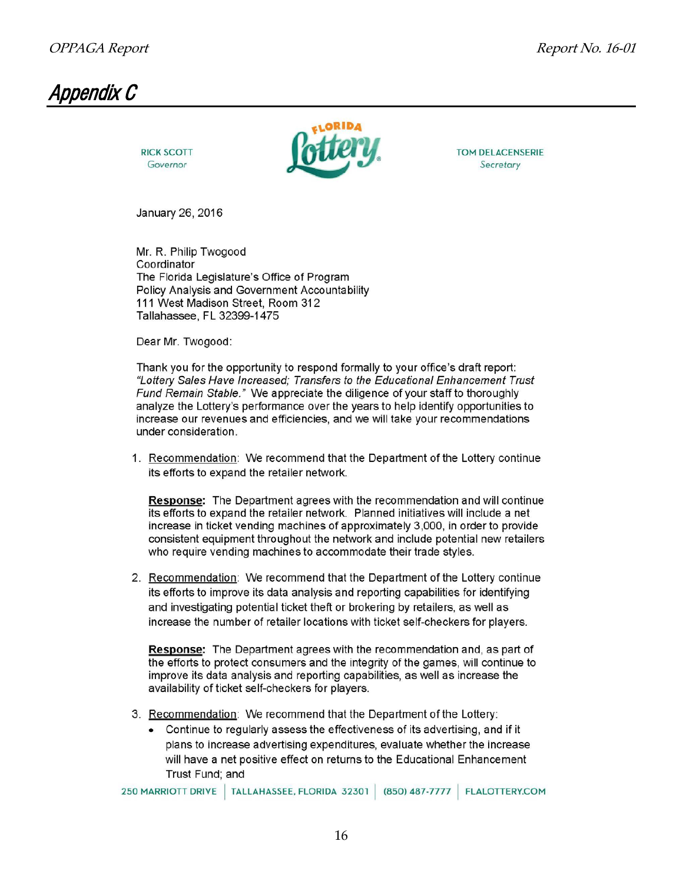### Appendix C

**RICK SCOTT** Governor



**TOM DELACENSERIE** Secretary

January 26, 2016

Mr. R. Philip Twogood Coordinator The Florida Legislature's Office of Program Policy Analysis and Government Accountability 111 West Madison Street, Room 312 Tallahassee, FL 32399-1475

Dear Mr. Twogood:

Thank you for the opportunity to respond formally to your office's draft report: "Lottery Sales Have Increased; Transfers to the Educational Enhancement Trust Fund Remain Stable." We appreciate the diligence of your staff to thoroughly analyze the Lottery's performance over the years to help identify opportunities to increase our revenues and efficiencies, and we will take your recommendations under consideration.

1. Recommendation: We recommend that the Department of the Lottery continue its efforts to expand the retailer network.

Response: The Department agrees with the recommendation and will continue its efforts to expand the retailer network. Planned initiatives will include a net increase in ticket vending machines of approximately 3,000, in order to provide consistent equipment throughout the network and include potential new retailers who require vending machines to accommodate their trade styles.

2. Recommendation: We recommend that the Department of the Lottery continue its efforts to improve its data analysis and reporting capabilities for identifying and investigating potential ticket theft or brokering by retailers, as well as increase the number of retailer locations with ticket self-checkers for players.

**Response:** The Department agrees with the recommendation and, as part of the efforts to protect consumers and the integrity of the games, will continue to improve its data analysis and reporting capabilities, as well as increase the availability of ticket self-checkers for players.

- 3. Recommendation: We recommend that the Department of the Lottery:
	- Continue to regularly assess the effectiveness of its advertising, and if it plans to increase advertising expenditures, evaluate whether the increase will have a net positive effect on returns to the Educational Enhancement Trust Fund; and

250 MARRIOTT DRIVE | TALLAHASSEE, FLORIDA 32301 | (850) 487-7777 | FLALOTTERY.COM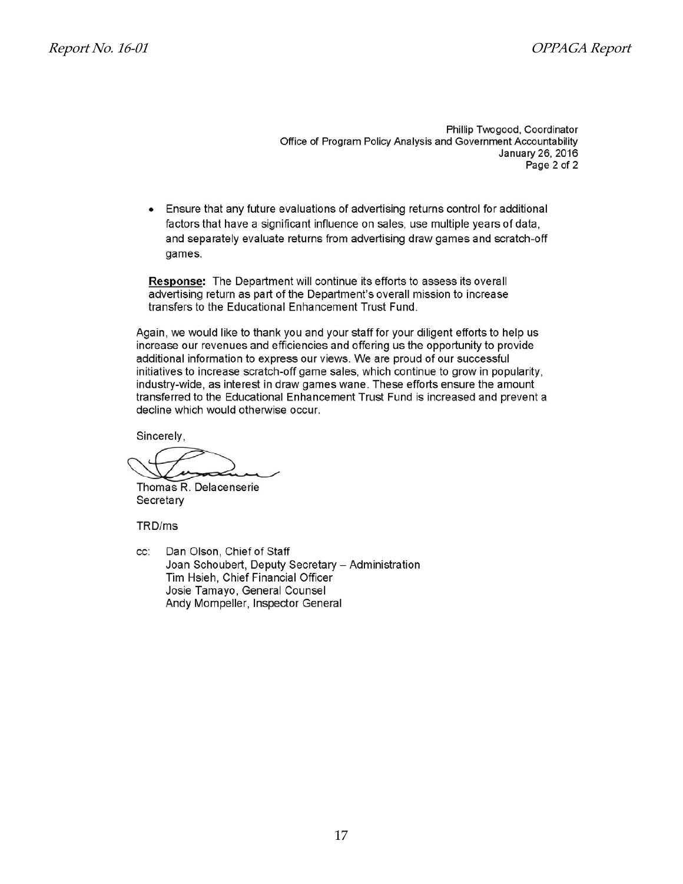Phillip Twogood, Coordinator Office of Program Policy Analysis and Government Accountability January 26, 2016 Page 2 of 2

Ensure that any future evaluations of advertising returns control for additional ٠ factors that have a significant influence on sales, use multiple years of data, and separately evaluate returns from advertising draw games and scratch-off games.

Response: The Department will continue its efforts to assess its overall advertising return as part of the Department's overall mission to increase transfers to the Educational Enhancement Trust Fund.

Again, we would like to thank you and your staff for your diligent efforts to help us increase our revenues and efficiencies and offering us the opportunity to provide additional information to express our views. We are proud of our successful initiatives to increase scratch-off game sales, which continue to grow in popularity, industry-wide, as interest in draw games wane. These efforts ensure the amount transferred to the Educational Enhancement Trust Fund is increased and prevent a decline which would otherwise occur.

Sincerely,

Thomas R. Delacenserie Secretary

TRD/ms

Dan Olson, Chief of Staff cc: Joan Schoubert, Deputy Secretary - Administration Tim Hsieh, Chief Financial Officer Josie Tamayo, General Counsel Andy Mompeller, Inspector General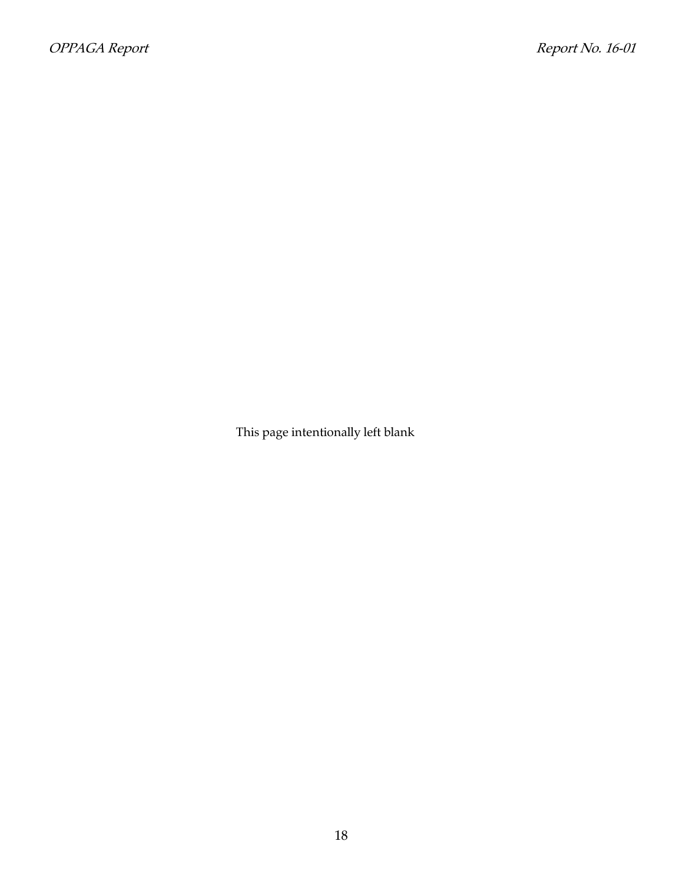This page intentionally left blank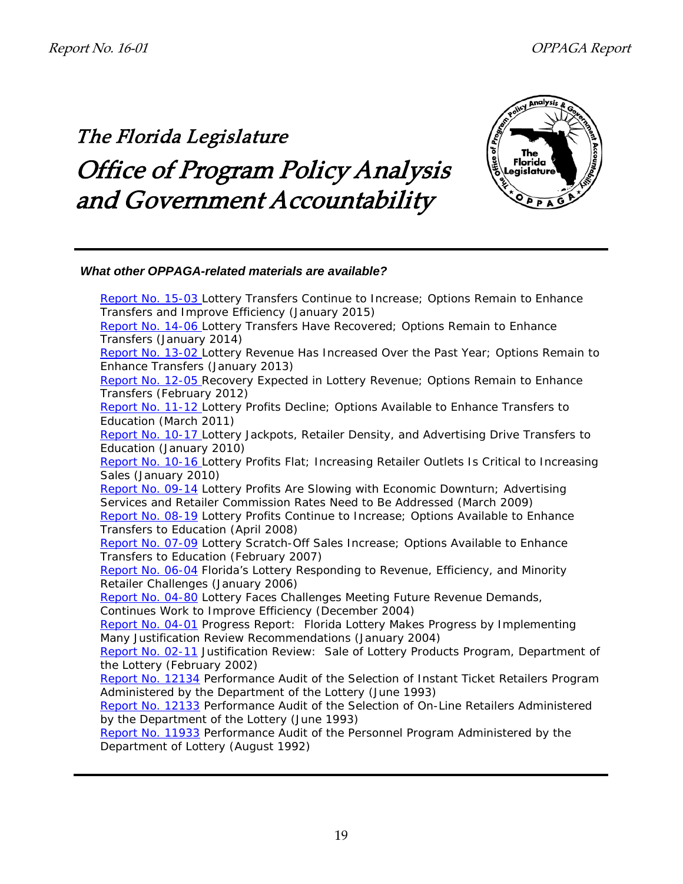### The Florida Legislature Office of Program Policy Analysis and Government Accountability



#### *What other OPPAGA-related materials are available?*

[Report No. 15-03](http://www.oppaga.state.fl.us/Summary.aspx?reportNum=15-03) *Lottery Transfers Continue to Increase; Options Remain to Enhance Transfers and Improve Efficiency* (January 2015) [Report No. 14-06](http://www.oppaga.state.fl.us/Summary.aspx?reportNum=14-06) *Lottery Transfers Have Recovered; Options Remain to Enhance Transfers* (January 2014) [Report No. 13-02](http://www.oppaga.state.fl.us/Summary.aspx?reportNum=13-02) *Lottery Revenue Has Increased Over the Past Year; Options Remain to Enhance Transfers* (January 2013) [Report No. 12-05](http://www.oppaga.state.fl.us/Summary.aspx?reportNum=12-05) *Recovery Expected in Lottery Revenue; Options Remain to Enhance Transfers* (February 2012) [Report No. 11-12](http://www.oppaga.state.fl.us/Summary.aspx?reportNum=11-12) *Lottery Profits Decline; Options Available to Enhance Transfers to Education* (March 2011) [Report No. 10-17](http://www.oppaga.state.fl.us/Summary.aspx?reportNum=10-17) *Lottery Jackpots, Retailer Density, and Advertising Drive Transfers to Education* (January 2010) [Report No. 10-16](http://www.oppaga.state.fl.us/Summary.aspx?reportNum=10-16) *Lottery Profits Flat; Increasing Retailer Outlets Is Critical to Increasing Sales* (January 2010) [Report No. 09-14](http://www.oppaga.state.fl.us/Summary.aspx?reportNum=09-14) *Lottery Profits Are Slowing with Economic Downturn; Advertising Services and Retailer Commission Rates Need to Be Addressed* (March 2009) [Report No. 08-19](http://www.oppaga.state.fl.us/Summary.aspx?reportNum=08-19) *Lottery Profits Continue to Increase; Options Available to Enhance Transfers to Education* (April 2008) [Report No. 07-09](http://www.oppaga.state.fl.us/Summary.aspx?reportNum=07-09) *Lottery Scratch-Off Sales Increase; Options Available to Enhance Transfers to Education* (February 2007) [Report No. 06-04](http://www.oppaga.state.fl.us/Summary.aspx?reportNum=06-04) *Florida's Lottery Responding to Revenue, Efficiency, and Minority Retailer Challenges* (January 2006) [Report No. 04-80](http://www.oppaga.state.fl.us/Summary.aspx?reportNum=04-80) *Lottery Faces Challenges Meeting Future Revenue Demands, Continues Work to Improve Efficiency* (December 2004) [Report No. 04-01](http://www.oppaga.state.fl.us/Summary.aspx?reportNum=04-01) *Progress Report: Florida Lottery Makes Progress by Implementing Many Justification Review Recommendations* (January 2004) [Report No. 02-11](http://www.oppaga.state.fl.us/Summary.aspx?reportNum=02-11) *Justification Review: Sale of Lottery Products Program, Department of the Lottery* (February 2002) [Report No. 12134](http://www.oppaga.state.fl.us/Summary.aspx?reportNum=12134) *Performance Audit of the Selection of Instant Ticket Retailers Program Administered by the Department of the Lottery* (June 1993) [Report No. 12133](http://www.oppaga.state.fl.us/Summary.aspx?reportNum=12133) *Performance Audit of the Selection of On-Line Retailers Administered by the Department of the Lottery* (June 1993) [Report No. 11933](http://www.oppaga.state.fl.us/Summary.aspx?reportNum=11933) *Performance Audit of the Personnel Program Administered by the Department of Lottery* (August 1992)